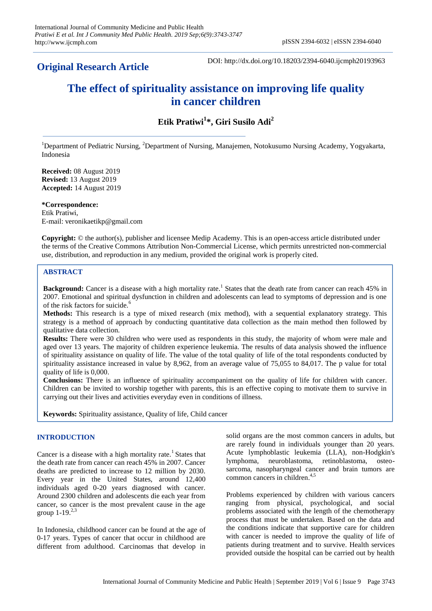# **Original Research Article**

DOI: http://dx.doi.org/10.18203/2394-6040.ijcmph20193963

# **The effect of spirituality assistance on improving life quality in cancer children**

**Etik Pratiwi<sup>1</sup> \*, Giri Susilo Adi<sup>2</sup>**

<sup>1</sup>Department of Pediatric Nursing, <sup>2</sup>Department of Nursing, Manajemen, Notokusumo Nursing Academy, Yogyakarta, Indonesia

**Received:** 08 August 2019 **Revised:** 13 August 2019 **Accepted:** 14 August 2019

**\*Correspondence:** Etik Pratiwi, E-mail: veronikaetikp@gmail.com

**Copyright:** © the author(s), publisher and licensee Medip Academy. This is an open-access article distributed under the terms of the Creative Commons Attribution Non-Commercial License, which permits unrestricted non-commercial use, distribution, and reproduction in any medium, provided the original work is properly cited.

# **ABSTRACT**

Background: Cancer is a disease with a high mortality rate.<sup>1</sup> States that the death rate from cancer can reach 45% in 2007. Emotional and spiritual dysfunction in children and adolescents can lead to symptoms of depression and is one of the risk factors for suicide.<sup>6</sup>

**Methods:** This research is a type of mixed research (mix method), with a sequential explanatory strategy. This strategy is a method of approach by conducting quantitative data collection as the main method then followed by qualitative data collection.

**Results:** There were 30 children who were used as respondents in this study, the majority of whom were male and aged over 13 years. The majority of children experience leukemia. The results of data analysis showed the influence of spirituality assistance on quality of life. The value of the total quality of life of the total respondents conducted by spirituality assistance increased in value by 8,962, from an average value of 75,055 to 84,017. The p value for total quality of life is 0,000.

**Conclusions:** There is an influence of spirituality accompaniment on the quality of life for children with cancer. Children can be invited to worship together with parents, this is an effective coping to motivate them to survive in carrying out their lives and activities everyday even in conditions of illness.

**Keywords:** Spirituality assistance, Quality of life, Child cancer

#### **INTRODUCTION**

Cancer is a disease with a high mortality rate.<sup>1</sup> States that the death rate from cancer can reach 45% in 2007. Cancer deaths are predicted to increase to 12 million by 2030. Every year in the United States, around 12,400 individuals aged 0-20 years diagnosed with cancer. Around 2300 children and adolescents die each year from cancer, so cancer is the most prevalent cause in the age group  $1 - 19^{2,3}$ 

In Indonesia, childhood cancer can be found at the age of 0-17 years. Types of cancer that occur in childhood are different from adulthood. Carcinomas that develop in solid organs are the most common cancers in adults, but are rarely found in individuals younger than 20 years. Acute lymphoblastic leukemia (LLA), non-Hodgkin's lymphoma, neuroblastoma, retinoblastoma, osteosarcoma, nasopharyngeal cancer and brain tumors are common cancers in children. 4,5

Problems experienced by children with various cancers ranging from physical, psychological, and social problems associated with the length of the chemotherapy process that must be undertaken. Based on the data and the conditions indicate that supportive care for children with cancer is needed to improve the quality of life of patients during treatment and to survive. Health services provided outside the hospital can be carried out by health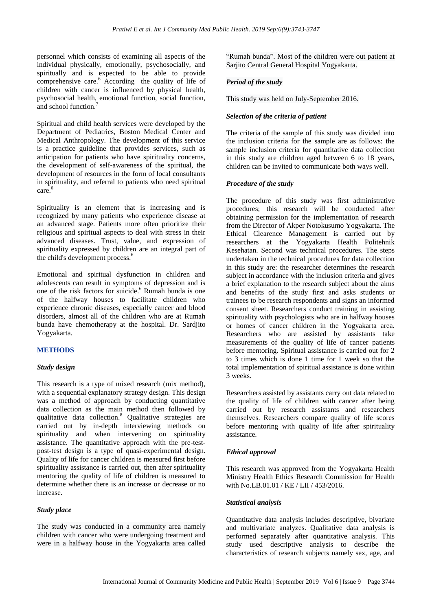personnel which consists of examining all aspects of the individual physically, emotionally, psychosocially, and spiritually and is expected to be able to provide comprehensive care. <sup>6</sup> According the quality of life of children with cancer is influenced by physical health, psychosocial health, emotional function, social function, and school function.<sup>7</sup>

Spiritual and child health services were developed by the Department of Pediatrics, Boston Medical Center and Medical Anthropology. The development of this service is a practice guideline that provides services, such as anticipation for patients who have spirituality concerns, the development of self-awareness of the spiritual, the development of resources in the form of local consultants in spirituality, and referral to patients who need spiritual care. 6

Spirituality is an element that is increasing and is recognized by many patients who experience disease at an advanced stage. Patients more often prioritize their religious and spiritual aspects to deal with stress in their advanced diseases. Trust, value, and expression of spirituality expressed by children are an integral part of the child's development process. 6

Emotional and spiritual dysfunction in children and adolescents can result in symptoms of depression and is one of the risk factors for suicide. <sup>6</sup> Rumah bunda is one of the halfway houses to facilitate children who experience chronic diseases, especially cancer and blood disorders, almost all of the children who are at Rumah bunda have chemotherapy at the hospital. Dr. Sardjito Yogyakarta.

#### **METHODS**

#### *Study design*

This research is a type of mixed research (mix method), with a sequential explanatory strategy design. This design was a method of approach by conducting quantitative data collection as the main method then followed by qualitative data collection.<sup>8</sup> Qualitative strategies are carried out by in-depth interviewing methods on spirituality and when intervening on spirituality assistance. The quantitative approach with the pre-testpost-test design is a type of quasi-experimental design. Quality of life for cancer children is measured first before spirituality assistance is carried out, then after spirituality mentoring the quality of life of children is measured to determine whether there is an increase or decrease or no increase.

#### *Study place*

The study was conducted in a community area namely children with cancer who were undergoing treatment and were in a halfway house in the Yogyakarta area called "Rumah bunda". Most of the children were out patient at Sarjito Central General Hospital Yogyakarta.

# *Period of the study*

This study was held on July-September 2016.

# *Selection of the criteria of patient*

The criteria of the sample of this study was divided into the inclusion criteria for the sample are as follows: the sample inclusion criteria for quantitative data collection in this study are children aged between 6 to 18 years, children can be invited to communicate both ways well.

#### *Procedure of the study*

The procedure of this study was first administrative procedures; this research will be conducted after obtaining permission for the implementation of research from the Director of Akper Notokusumo Yogyakarta. The Ethical Clearence Management is carried out by researchers at the Yogyakarta Health Politehnik Kesehatan. Second was technical procedures. The steps undertaken in the technical procedures for data collection in this study are: the researcher determines the research subject in accordance with the inclusion criteria and gives a brief explanation to the research subject about the aims and benefits of the study first and asks students or trainees to be research respondents and signs an informed consent sheet. Researchers conduct training in assisting spirituality with psychologists who are in halfway houses or homes of cancer children in the Yogyakarta area. Researchers who are assisted by assistants take measurements of the quality of life of cancer patients before mentoring. Spiritual assistance is carried out for 2 to 3 times which is done 1 time for 1 week so that the total implementation of spiritual assistance is done within 3 weeks.

Researchers assisted by assistants carry out data related to the quality of life of children with cancer after being carried out by research assistants and researchers themselves. Researchers compare quality of life scores before mentoring with quality of life after spirituality assistance.

#### *Ethical approval*

This research was approved from the Yogyakarta Health Ministry Health Ethics Research Commission for Health with No.LB.01.01 / KE / LII / 453/2016.

#### *Statistical analysis*

Quantitative data analysis includes descriptive, bivariate and multivariate analyzes. Qualitative data analysis is performed separately after quantitative analysis. This study used descriptive analysis to describe the characteristics of research subjects namely sex, age, and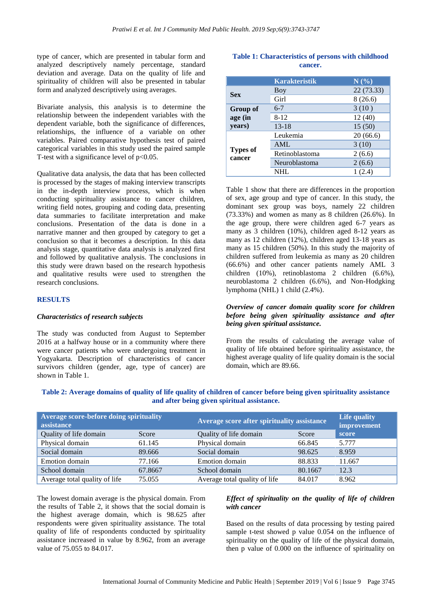type of cancer, which are presented in tabular form and analyzed descriptively namely percentage, standard deviation and average. Data on the quality of life and spirituality of children will also be presented in tabular form and analyzed descriptively using averages.

Bivariate analysis, this analysis is to determine the relationship between the independent variables with the dependent variable, both the significance of differences, relationships, the influence of a variable on other variables. Paired comparative hypothesis test of paired categorical variables in this study used the paired sample T-test with a significance level of p<0.05.

Qualitative data analysis, the data that has been collected is processed by the stages of making interview transcripts in the in-depth interview process, which is when conducting spirituality assistance to cancer children, writing field notes, grouping and coding data, presenting data summaries to facilitate interpretation and make conclusions. Presentation of the data is done in a narrative manner and then grouped by category to get a conclusion so that it becomes a description. In this data analysis stage, quantitative data analysis is analyzed first and followed by qualitative analysis. The conclusions in this study were drawn based on the research hypothesis and qualitative results were used to strengthen the research conclusions.

#### **RESULTS**

#### *Characteristics of research subjects*

The study was conducted from August to September 2016 at a halfway house or in a community where there were cancer patients who were undergoing treatment in Yogyakarta. Description of characteristics of cancer survivors children (gender, age, type of cancer) are shown in Table 1.

# **Table 1: Characteristics of persons with childhood cancer.**

|                           | <b>Karakteristik</b> | N(%)       |
|---------------------------|----------------------|------------|
| <b>Sex</b>                | Boy                  | 22 (73.33) |
|                           | Girl                 | 8(26.6)    |
| <b>Group of</b>           | $6 - 7$              | 3(10)      |
| age (in                   | 8-12                 | 12(40)     |
| years)                    | $13 - 18$            | 15(50)     |
| <b>Types of</b><br>cancer | Leukemia             | 20(66.6)   |
|                           | <b>AML</b>           | 3(10)      |
|                           | Retinoblastoma       | 2(6.6)     |
|                           | Neuroblastoma        | 2(6.6)     |
|                           | NHL                  | (2.4)      |

Table 1 show that there are differences in the proportion of sex, age group and type of cancer. In this study, the dominant sex group was boys, namely 22 children (73.33%) and women as many as 8 children (26.6%). In the age group, there were children aged 6-7 years as many as 3 children (10%), children aged 8-12 years as many as 12 children (12%), children aged 13-18 years as many as 15 children (50%). In this study the majority of children suffered from leukemia as many as 20 children (66.6%) and other cancer patients namely AML 3 children (10%), retinoblastoma 2 children (6.6%), neuroblastoma 2 children (6.6%), and Non-Hodgking lymphoma (NHL) 1 child (2.4%).

#### *Overview of cancer domain quality score for children before being given spirituality assistance and after being given spiritual assistance.*

From the results of calculating the average value of quality of life obtained before spirituality assistance, the highest average quality of life quality domain is the social domain, which are 89.66.

| Table 2: Average domains of quality of life quality of children of cancer before being given spirituality assistance |  |  |  |  |  |  |
|----------------------------------------------------------------------------------------------------------------------|--|--|--|--|--|--|
| and after being given spiritual assistance.                                                                          |  |  |  |  |  |  |

| Average score-before doing spirituality<br>assistance |         | Average score after spirituality assistance |         | Life quality<br>improvement |
|-------------------------------------------------------|---------|---------------------------------------------|---------|-----------------------------|
| Quality of life domain                                | Score   | Quality of life domain                      | Score   | score                       |
| Physical domain                                       | 61.145  | Physical domain                             | 66.845  | 5.777                       |
| Social domain                                         | 89.666  | Social domain                               | 98.625  | 8.959                       |
| Emotion domain                                        | 77.166  | Emotion domain                              | 88.833  | 11.667                      |
| School domain                                         | 67.8667 | School domain                               | 80.1667 | 12.3                        |
| Average total quality of life                         | 75.055  | Average total quality of life               | 84.017  | 8.962                       |

The lowest domain average is the physical domain. From the results of Table 2, it shows that the social domain is the highest average domain, which is 98.625 after respondents were given spirituality assistance. The total quality of life of respondents conducted by spirituality assistance increased in value by 8.962, from an average value of 75.055 to 84.017.

#### *Effect of spirituality on the quality of life of children with cancer*

Based on the results of data processing by testing paired sample t-test showed p value 0.054 on the influence of spirituality on the quality of life of the physical domain, then p value of 0.000 on the influence of spirituality on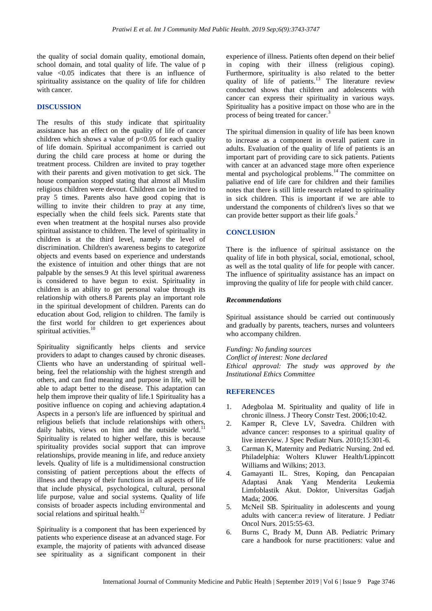the quality of social domain quality, emotional domain, school domain, and total quality of life. The value of p value <0.05 indicates that there is an influence of spirituality assistance on the quality of life for children with cancer.

#### **DISCUSSION**

The results of this study indicate that spirituality assistance has an effect on the quality of life of cancer children which shows a value of  $p<0.05$  for each quality of life domain. Spiritual accompaniment is carried out during the child care process at home or during the treatment process. Children are invited to pray together with their parents and given motivation to get sick. The house companion stopped stating that almost all Muslim religious children were devout. Children can be invited to pray 5 times. Parents also have good coping that is willing to invite their children to pray at any time, especially when the child feels sick. Parents state that even when treatment at the hospital nurses also provide spiritual assistance to children. The level of spirituality in children is at the third level, namely the level of discrimination. Children's awareness begins to categorize objects and events based on experience and understands the existence of intuition and other things that are not palpable by the senses.9 At this level spiritual awareness is considered to have begun to exist. Spirituality in children is an ability to get personal value through its relationship with others.8 Parents play an important role in the spiritual development of children. Parents can do education about God, religion to children. The family is the first world for children to get experiences about spiritual activities.<sup>10</sup>

Spirituality significantly helps clients and service providers to adapt to changes caused by chronic diseases. Clients who have an understanding of spiritual wellbeing, feel the relationship with the highest strength and others, and can find meaning and purpose in life, will be able to adapt better to the disease. This adaptation can help them improve their quality of life.1 Spirituality has a positive influence on coping and achieving adaptation.4 Aspects in a person's life are influenced by spiritual and religious beliefs that include relationships with others, daily habits, views on him and the outside world.<sup>11</sup> Spirituality is related to higher welfare, this is because spirituality provides social support that can improve relationships, provide meaning in life, and reduce anxiety levels. Quality of life is a multidimensional construction consisting of patient perceptions about the effects of illness and therapy of their functions in all aspects of life that include physical, psychological, cultural, personal life purpose, value and social systems. Quality of life consists of broader aspects including environmental and social relations and spiritual health. $12$ 

Spirituality is a component that has been experienced by patients who experience disease at an advanced stage. For example, the majority of patients with advanced disease see spirituality as a significant component in their experience of illness. Patients often depend on their belief in coping with their illness (religious coping). Furthermore, spirituality is also related to the better quality of life of patients.<sup>13</sup> The literature review conducted shows that children and adolescents with cancer can express their spirituality in various ways. Spirituality has a positive impact on those who are in the process of being treated for cancer.<sup>3</sup>

The spiritual dimension in quality of life has been known to increase as a component in overall patient care in adults. Evaluation of the quality of life of patients is an important part of providing care to sick patients. Patients with cancer at an advanced stage more often experience mental and psychological problems.<sup>14</sup> The committee on paliative end of life care for children and their families notes that there is still little research related to spirituality in sick children. This is important if we are able to understand the components of children's lives so that we can provide better support as their life goals.<sup>2</sup>

#### **CONCLUSION**

There is the influence of spiritual assistance on the quality of life in both physical, social, emotional, school, as well as the total quality of life for people with cancer. The influence of spirituality assistance has an impact on improving the quality of life for people with child cancer.

#### *Recommendations*

Spiritual assistance should be carried out continuously and gradually by parents, teachers, nurses and volunteers who accompany children.

*Funding: No funding sources Conflict of interest: None declared Ethical approval: The study was approved by the Institutional Ethics Committee*

#### **REFERENCES**

- 1. Adegbolaa M. Spirituality and quality of life in chronic illness. J Theory Constr Test. 2006;10:42.
- 2. Kamper R, Cleve LV, Savedra. Children with advance cancer: responses to a spiritual quality of live interview. J Spec Pediatr Nurs. 2010;15:301-6.
- 3. Carman K, Maternity and Pediatric Nursing. 2nd ed. Philadelphia: Wolters Kluwer Health/Lippincott Williams and Wilkins; 2013.
- 4. Gamayanti IL. Stres, Koping, dan Pencapaian Adaptasi Anak Yang Menderita Leukemia Limfoblastik Akut. Doktor, Universitas Gadjah Mada; 2006.
- 5. McNeil SB. Spirituality in adolescents and young adults with cancer:a review of literature. J Pediatr Oncol Nurs. 2015:55-63.
- 6. Burns C, Brady M, Dunn AB. Pediatric Primary care a handbook for nurse practitioners: value and